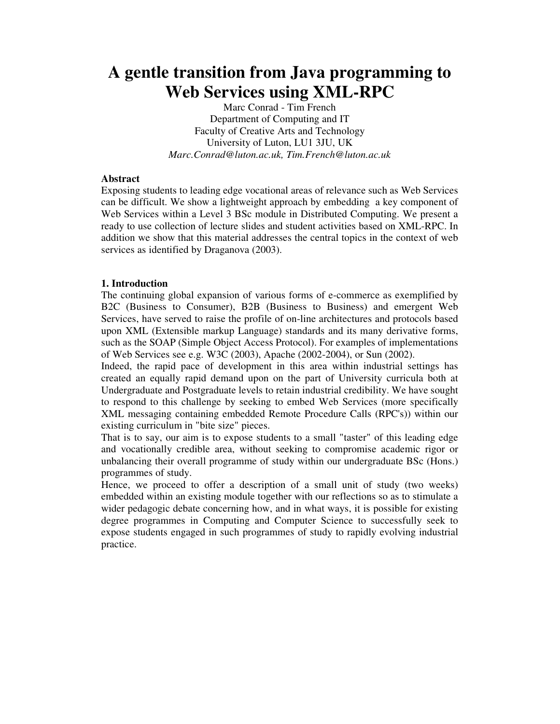# **A gentle transition from Java programming to Web Services using XML-RPC**

Marc Conrad - Tim French Department of Computing and IT Faculty of Creative Arts and Technology University of Luton, LU1 3JU, UK *Marc.Conrad@luton.ac.uk, Tim.French@luton.ac.uk*

## **Abstract**

Exposing students to leading edge vocational areas of relevance such as Web Services can be difficult. We show a lightweight approach by embedding a key component of Web Services within a Level 3 BSc module in Distributed Computing. We present a ready to use collection of lecture slides and student activities based on XML-RPC. In addition we show that this material addresses the central topics in the context of web services as identified by Draganova  $(2003)$ .

### **1. Introduction**

The continuing global expansion of various forms of e-commerce as exemplified by B2C (Business to Consumer), B2B (Business to Business) and emergent Web Services, have served to raise the profile of on-line architectures and protocols based upon XML (Extensible markup Language) standards and its many derivative forms, such as the SOAP (Simple Object Access Protocol). For examples of implementations of Web Services see e.g. W3C (2003), Apache (2002-2004), or Sun (2002).

Indeed, the rapid pace of development in this area within industrial settings has created an equally rapid demand upon on the part of University curricula both at Undergraduate and Postgraduate levels to retain industrial credibility. We have sought to respond to this challenge by seeking to embed Web Services (more specifically XML messaging containing embedded Remote Procedure Calls (RPC's)) within our existing curriculum in "bite size" pieces.

That is to say, our aim is to expose students to a small "taster" of this leading edge and vocationally credible area, without seeking to compromise academic rigor or unbalancing their overall programme of study within our undergraduate BSc (Hons.) programmes of study.

Hence, we proceed to offer a description of a small unit of study (two weeks) embedded within an existing module together with our reflections so as to stimulate a wider pedagogic debate concerning how, and in what ways, it is possible for existing degree programmes in Computing and Computer Science to successfully seek to expose students engaged in such programmes of study to rapidly evolving industrial practice.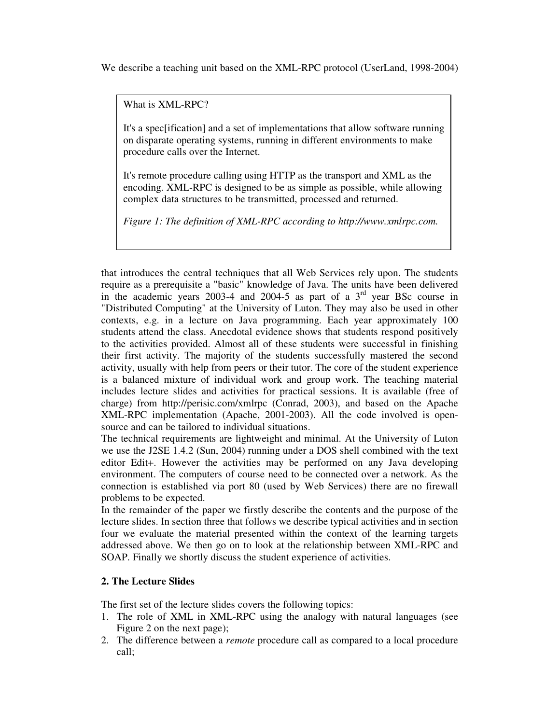We describe a teaching unit based on the XML-RPC protocol (UserLand, 1998-2004)

What is XML-RPC?

It's a spec[ification] and a set of implementations that allow software running on disparate operating systems, running in different environments to make procedure calls over the Internet.

It's remote procedure calling using HTTP as the transport and XML as the encoding. XML-RPC is designed to be as simple as possible, while allowing complex data structures to be transmitted, processed and returned.

*Figure 1: The definition of XML-RPC according to http://www.xmlrpc.com.*

that introduces the central techniques that all Web Services rely upon. The students require as a prerequisite a "basic" knowledge of Java. The units have been delivered in the academic years 2003-4 and 2004-5 as part of a  $3<sup>rd</sup>$  year BSc course in "Distributed Computing" at the University of Luton. They may also be used in other contexts, e.g. in a lecture on Java programming. Each year approximately 100 students attend the class. Anecdotal evidence shows that students respond positively to the activities provided. Almost all of these students were successful in finishing their first activity. The majority of the students successfully mastered the second activity, usually with help from peers or their tutor. The core of the student experience is a balanced mixture of individual work and group work. The teaching material includes lecture slides and activities for practical sessions. It is available (free of charge) from http://perisic.com/xmlrpc (Conrad, 2003), and based on the Apache XML-RPC implementation (Apache, 2001-2003). All the code involved is opensource and can be tailored to individual situations.

The technical requirements are lightweight and minimal. At the University of Luton we use the J2SE 1.4.2 (Sun, 2004) running under a DOS shell combined with the text editor Edit+. However the activities may be performed on any Java developing environment. The computers of course need to be connected over a network. As the connection is established via port 80 (used by Web Services) there are no firewall problems to be expected.

In the remainder of the paper we firstly describe the contents and the purpose of the lecture slides. In section three that follows we describe typical activities and in section four we evaluate the material presented within the context of the learning targets addressed above. We then go on to look at the relationship between XML-RPC and SOAP. Finally we shortly discuss the student experience of activities.

## **2. The Lecture Slides**

The first set of the lecture slides covers the following topics:

- 1. The role of XML in XML-RPC using the analogy with natural languages (see Figure 2 on the next page);
- 2. The difference between a *remote* procedure call as compared to a local procedure call;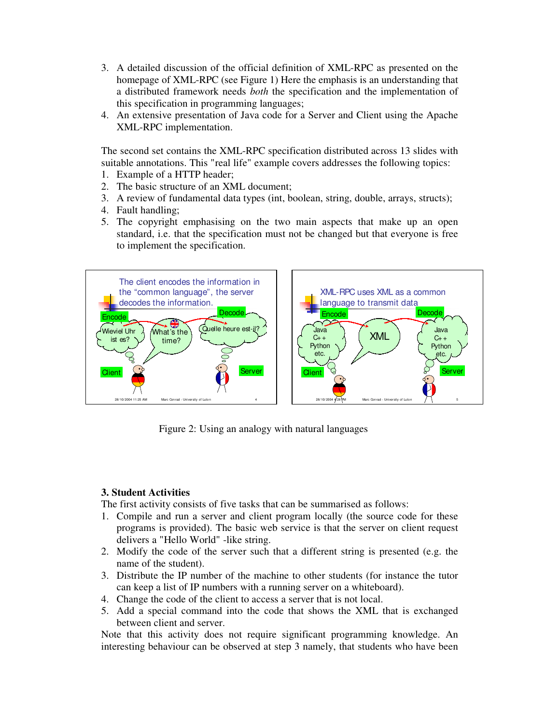- 3. A detailed discussion of the official definition of XML-RPC as presented on the homepage of XML-RPC (see Figure 1) Here the emphasis is an understanding that a distributed framework needs *both* the specification and the implementation of this specification in programming languages;
- 4. An extensive presentation of Java code for a Server and Client using the Apache XML-RPC implementation.

The second set contains the XML-RPC specification distributed across 13 slides with suitable annotations. This "real life" example covers addresses the following topics:

- 1. Example of a HTTP header;
- 2. The basic structure of an XML document;
- 3. A review of fundamental data types (int, boolean, string, double, arrays, structs);
- 4. Fault handling;
- 5. The copyright emphasising on the two main aspects that make up an open standard, i.e. that the specification must not be changed but that everyone is free to implement the specification.



Figure 2: Using an analogy with natural languages

## **3. Student Activities**

The first activity consists of five tasks that can be summarised as follows:

- 1. Compile and run a server and client program locally (the source code for these programs is provided). The basic web service is that the server on client request delivers a "Hello World" -like string.
- 2. Modify the code of the server such that a different string is presented (e.g. the name of the student).
- 3. Distribute the IP number of the machine to other students (for instance the tutor can keep a list of IP numbers with a running server on a whiteboard).
- 4. Change the code of the client to access a server that is not local.
- 5. Add a special command into the code that shows the XML that is exchanged between client and server.

Note that this activity does not require significant programming knowledge. An interesting behaviour can be observed at step 3 namely, that students who have been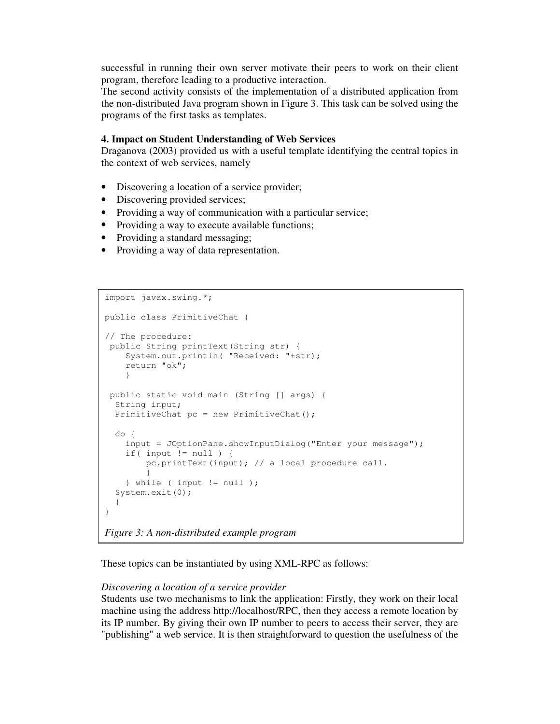successful in running their own server motivate their peers to work on their client program, therefore leading to a productive interaction.

The second activity consists of the implementation of a distributed application from the non-distributed Java program shown in Figure 3. This task can be solved using the programs of the first tasks as templates.

#### **4. Impact on Student Understanding of Web Services**

Draganova (2003) provided us with a useful template identifying the central topics in the context of web services, namely

- Discovering a location of a service provider;
- Discovering provided services;
- Providing a way of communication with a particular service;
- Providing a way to execute available functions;
- Providing a standard messaging;
- Providing a way of data representation.

```
import javax.swing.*;
public class PrimitiveChat {
// The procedure:
public String printText(String str) {
    System.out.println( "Received: "+str);
     return "ok";
     }
public static void main (String [] args) {
  String input;
  PrimitiveChat pc = new PrimitiveChat();
  do {
    input = JOptionPane.showInputDialog("Enter your message");
     if( input != null ) {
         pc.printText(input); // a local procedure call.
 }
     } while ( input != null );
  System.exit(0);
   }
}
```
*Figure 3: A non-distributed example program*

These topics can be instantiated by using XML-RPC as follows:

#### *Discovering a location of a service provider*

Students use two mechanisms to link the application: Firstly, they work on their local machine using the address http://localhost/RPC, then they access a remote location by its IP number. By giving their own IP number to peers to access their server, they are "publishing" a web service. It is then straightforward to question the usefulness of the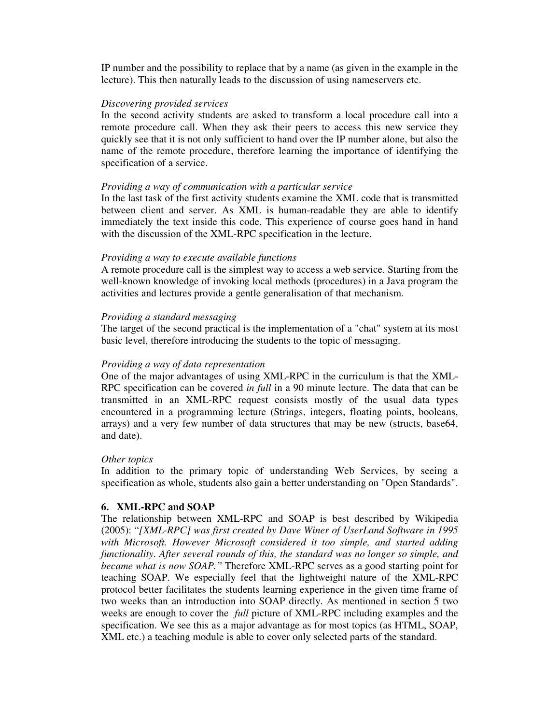IP number and the possibility to replace that by a name (as given in the example in the lecture). This then naturally leads to the discussion of using nameservers etc.

#### *Discovering provided services*

In the second activity students are asked to transform a local procedure call into a remote procedure call. When they ask their peers to access this new service they quickly see that it is not only sufficient to hand over the IP number alone, but also the name of the remote procedure, therefore learning the importance of identifying the specification of a service.

#### *Providing a way of communication with a particular service*

In the last task of the first activity students examine the XML code that is transmitted between client and server. As XML is human-readable they are able to identify immediately the text inside this code. This experience of course goes hand in hand with the discussion of the XML-RPC specification in the lecture.

#### *Providing a way to execute available functions*

A remote procedure call is the simplest way to access a web service. Starting from the well-known knowledge of invoking local methods (procedures) in a Java program the activities and lectures provide a gentle generalisation of that mechanism.

#### *Providing a standard messaging*

The target of the second practical is the implementation of a "chat" system at its most basic level, therefore introducing the students to the topic of messaging.

#### *Providing a way of data representation*

One of the major advantages of using XML-RPC in the curriculum is that the XML-RPC specification can be covered *in full* in a 90 minute lecture. The data that can be transmitted in an XML-RPC request consists mostly of the usual data types encountered in a programming lecture (Strings, integers, floating points, booleans, arrays) and a very few number of data structures that may be new (structs, base64, and date).

#### *Other topics*

In addition to the primary topic of understanding Web Services, by seeing a specification as whole, students also gain a better understanding on "Open Standards".

#### **6. XML-RPC and SOAP**

The relationship between XML-RPC and SOAP is best described by Wikipedia (2005): "*[XML-RPC] was first created by Dave Winer of UserLand Software in 1995 with Microsoft. However Microsoft considered it too simple, and started adding functionality. After several rounds of this, the standard was no longer so simple, and became what is now SOAP."* Therefore XML-RPC serves as a good starting point for teaching SOAP. We especially feel that the lightweight nature of the XML-RPC protocol better facilitates the students learning experience in the given time frame of two weeks than an introduction into SOAP directly. As mentioned in section 5 two weeks are enough to cover the *full* picture of XML-RPC including examples and the specification. We see this as a major advantage as for most topics (as HTML, SOAP, XML etc.) a teaching module is able to cover only selected parts of the standard.